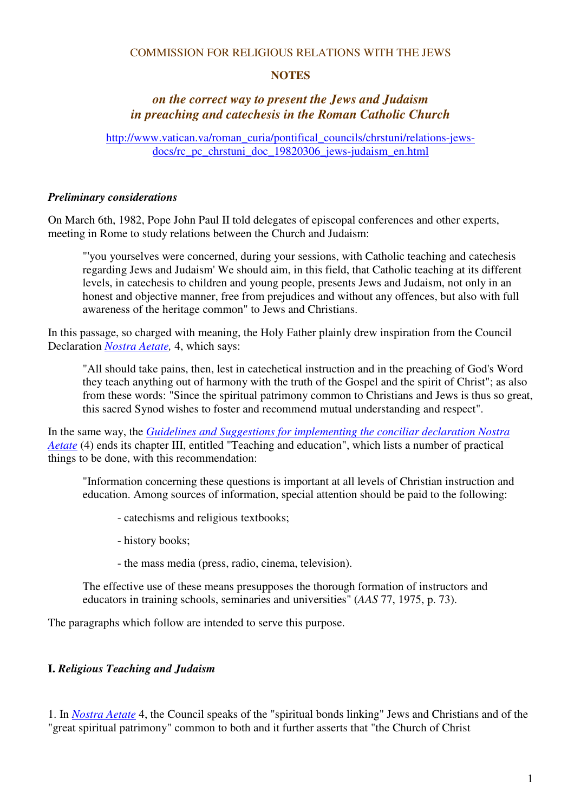#### COMMISSION FOR RELIGIOUS RELATIONS WITH THE JEWS

#### **NOTES**

## *on the correct way to present the Jews and Judaism in preaching and catechesis in the Roman Catholic Church*

http://www.vatican.va/roman\_curia/pontifical\_councils/chrstuni/relations-jewsdocs/rc\_pc\_chrstuni\_doc\_19820306\_jews-judaism\_en.html

#### *Preliminary considerations*

On March 6th, 1982, Pope John Paul II told delegates of episcopal conferences and other experts, meeting in Rome to study relations between the Church and Judaism:

"'you yourselves were concerned, during your sessions, with Catholic teaching and catechesis regarding Jews and Judaism' We should aim, in this field, that Catholic teaching at its different levels, in catechesis to children and young people, presents Jews and Judaism, not only in an honest and objective manner, free from prejudices and without any offences, but also with full awareness of the heritage common" to Jews and Christians.

In this passage, so charged with meaning, the Holy Father plainly drew inspiration from the Council Declaration *Nostra Aetate,* 4, which says:

"All should take pains, then, lest in catechetical instruction and in the preaching of God's Word they teach anything out of harmony with the truth of the Gospel and the spirit of Christ"; as also from these words: "Since the spiritual patrimony common to Christians and Jews is thus so great, this sacred Synod wishes to foster and recommend mutual understanding and respect".

In the same way, the *Guidelines and Suggestions for implementing the conciliar declaration Nostra Aetate* (4) ends its chapter III, entitled "Teaching and education", which lists a number of practical things to be done, with this recommendation:

"Information concerning these questions is important at all levels of Christian instruction and education. Among sources of information, special attention should be paid to the following:

- catechisms and religious textbooks;
- history books;
- the mass media (press, radio, cinema, television).

The effective use of these means presupposes the thorough formation of instructors and educators in training schools, seminaries and universities" (*AAS* 77, 1975, p. 73).

The paragraphs which follow are intended to serve this purpose.

#### **I.** *Religious Teaching and Judaism*

1. In *Nostra Aetate* 4, the Council speaks of the "spiritual bonds linking" Jews and Christians and of the "great spiritual patrimony" common to both and it further asserts that "the Church of Christ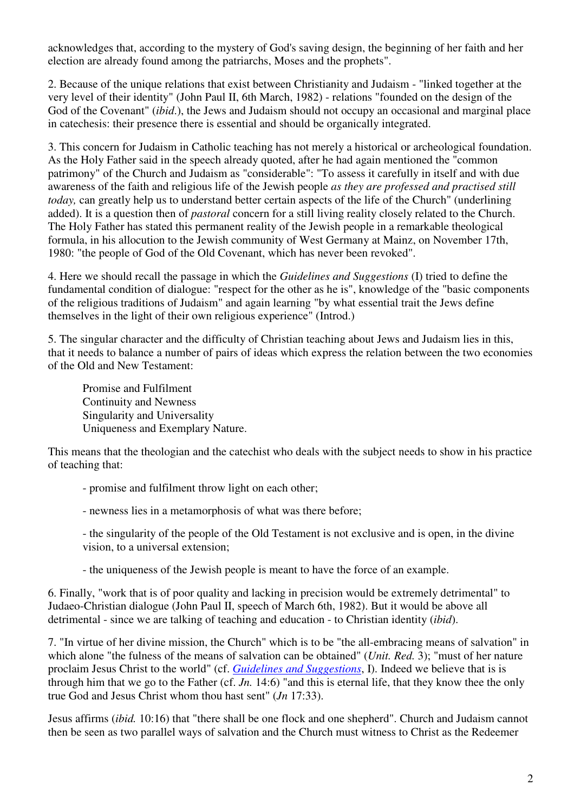acknowledges that, according to the mystery of God's saving design, the beginning of her faith and her election are already found among the patriarchs, Moses and the prophets".

2. Because of the unique relations that exist between Christianity and Judaism - "linked together at the very level of their identity" (John Paul II, 6th March, 1982) - relations "founded on the design of the God of the Covenant" (*ibid*.), the Jews and Judaism should not occupy an occasional and marginal place in catechesis: their presence there is essential and should be organically integrated.

3. This concern for Judaism in Catholic teaching has not merely a historical or archeological foundation. As the Holy Father said in the speech already quoted, after he had again mentioned the "common patrimony" of the Church and Judaism as "considerable": "To assess it carefully in itself and with due awareness of the faith and religious life of the Jewish people *as they are professed and practised still today*, can greatly help us to understand better certain aspects of the life of the Church" (underlining added). It is a question then of *pastoral* concern for a still living reality closely related to the Church. The Holy Father has stated this permanent reality of the Jewish people in a remarkable theological formula, in his allocution to the Jewish community of West Germany at Mainz, on November 17th, 1980: "the people of God of the Old Covenant, which has never been revoked".

4. Here we should recall the passage in which the *Guidelines and Suggestions* (I) tried to define the fundamental condition of dialogue: "respect for the other as he is", knowledge of the "basic components of the religious traditions of Judaism" and again learning "by what essential trait the Jews define themselves in the light of their own religious experience" (Introd.)

5. The singular character and the difficulty of Christian teaching about Jews and Judaism lies in this, that it needs to balance a number of pairs of ideas which express the relation between the two economies of the Old and New Testament:

Promise and Fulfilment Continuity and Newness Singularity and Universality Uniqueness and Exemplary Nature.

This means that the theologian and the catechist who deals with the subject needs to show in his practice of teaching that:

- promise and fulfilment throw light on each other;

- newness lies in a metamorphosis of what was there before;

- the singularity of the people of the Old Testament is not exclusive and is open, in the divine vision, to a universal extension;

- the uniqueness of the Jewish people is meant to have the force of an example.

6. Finally, "work that is of poor quality and lacking in precision would be extremely detrimental" to Judaeo-Christian dialogue (John Paul II, speech of March 6th, 1982). But it would be above all detrimental - since we are talking of teaching and education - to Christian identity (*ibid*).

7. "In virtue of her divine mission, the Church" which is to be "the all-embracing means of salvation" in which alone "the fulness of the means of salvation can be obtained" (*Unit. Red.* 3); "must of her nature proclaim Jesus Christ to the world" (cf. *Guidelines and Suggestions*, I). Indeed we believe that is is through him that we go to the Father (cf. *Jn.* 14:6) "and this is eternal life, that they know thee the only true God and Jesus Christ whom thou hast sent" (*Jn* 17:33).

Jesus affirms (*ibid.* 10:16) that "there shall be one flock and one shepherd". Church and Judaism cannot then be seen as two parallel ways of salvation and the Church must witness to Christ as the Redeemer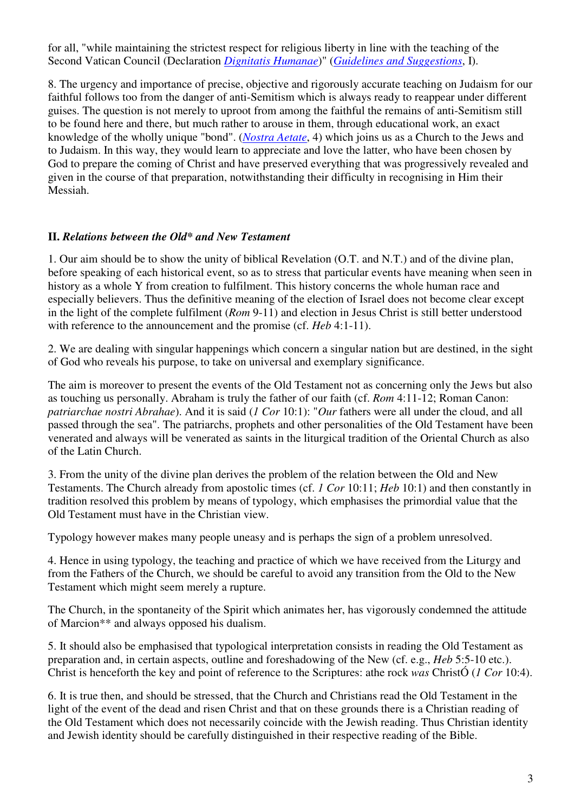for all, "while maintaining the strictest respect for religious liberty in line with the teaching of the Second Vatican Council (Declaration *Dignitatis Humanae*)" (*Guidelines and Suggestions*, I).

8. The urgency and importance of precise, objective and rigorously accurate teaching on Judaism for our faithful follows too from the danger of anti-Semitism which is always ready to reappear under different guises. The question is not merely to uproot from among the faithful the remains of anti-Semitism still to be found here and there, but much rather to arouse in them, through educational work, an exact knowledge of the wholly unique "bond". (*Nostra Aetate*, 4) which joins us as a Church to the Jews and to Judaism. In this way, they would learn to appreciate and love the latter, who have been chosen by God to prepare the coming of Christ and have preserved everything that was progressively revealed and given in the course of that preparation, notwithstanding their difficulty in recognising in Him their Messiah.

## **II.** *Relations between the Old\* and New Testament*

1. Our aim should be to show the unity of biblical Revelation (O.T. and N.T.) and of the divine plan, before speaking of each historical event, so as to stress that particular events have meaning when seen in history as a whole Y from creation to fulfilment. This history concerns the whole human race and especially believers. Thus the definitive meaning of the election of Israel does not become clear except in the light of the complete fulfilment (*Rom* 9-11) and election in Jesus Christ is still better understood with reference to the announcement and the promise (cf. *Heb* 4:1-11).

2. We are dealing with singular happenings which concern a singular nation but are destined, in the sight of God who reveals his purpose, to take on universal and exemplary significance.

The aim is moreover to present the events of the Old Testament not as concerning only the Jews but also as touching us personally. Abraham is truly the father of our faith (cf. *Rom* 4:11-12; Roman Canon: *patriarchae nostri Abrahae*). And it is said (*1 Cor* 10:1): "*Our* fathers were all under the cloud, and all passed through the sea". The patriarchs, prophets and other personalities of the Old Testament have been venerated and always will be venerated as saints in the liturgical tradition of the Oriental Church as also of the Latin Church.

3. From the unity of the divine plan derives the problem of the relation between the Old and New Testaments. The Church already from apostolic times (cf. *1 Cor* 10:11; *Heb* 10:1) and then constantly in tradition resolved this problem by means of typology, which emphasises the primordial value that the Old Testament must have in the Christian view.

Typology however makes many people uneasy and is perhaps the sign of a problem unresolved.

4. Hence in using typology, the teaching and practice of which we have received from the Liturgy and from the Fathers of the Church, we should be careful to avoid any transition from the Old to the New Testament which might seem merely a rupture.

The Church, in the spontaneity of the Spirit which animates her, has vigorously condemned the attitude of Marcion\*\* and always opposed his dualism.

5. It should also be emphasised that typological interpretation consists in reading the Old Testament as preparation and, in certain aspects, outline and foreshadowing of the New (cf. e.g., *Heb* 5:5-10 etc.). Christ is henceforth the key and point of reference to the Scriptures: athe rock *was* ChristÓ (*1 Cor* 10:4).

6. It is true then, and should be stressed, that the Church and Christians read the Old Testament in the light of the event of the dead and risen Christ and that on these grounds there is a Christian reading of the Old Testament which does not necessarily coincide with the Jewish reading. Thus Christian identity and Jewish identity should be carefully distinguished in their respective reading of the Bible.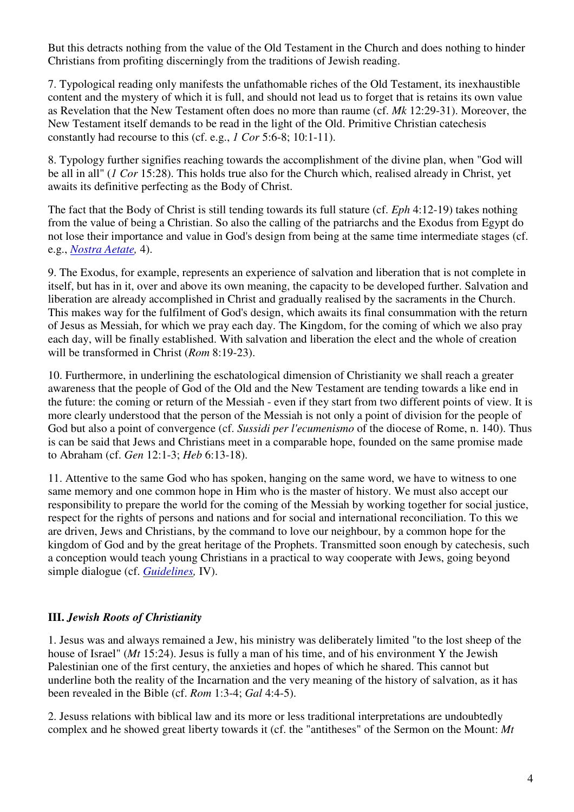But this detracts nothing from the value of the Old Testament in the Church and does nothing to hinder Christians from profiting discerningly from the traditions of Jewish reading.

7. Typological reading only manifests the unfathomable riches of the Old Testament, its inexhaustible content and the mystery of which it is full, and should not lead us to forget that is retains its own value as Revelation that the New Testament often does no more than raume (cf. *Mk* 12:29-31). Moreover, the New Testament itself demands to be read in the light of the Old. Primitive Christian catechesis constantly had recourse to this (cf. e.g., *1 Cor* 5:6-8; 10:1-11).

8. Typology further signifies reaching towards the accomplishment of the divine plan, when "God will be all in all" (*1 Cor* 15:28). This holds true also for the Church which, realised already in Christ, yet awaits its definitive perfecting as the Body of Christ.

The fact that the Body of Christ is still tending towards its full stature (cf. *Eph* 4:12-19) takes nothing from the value of being a Christian. So also the calling of the patriarchs and the Exodus from Egypt do not lose their importance and value in God's design from being at the same time intermediate stages (cf. e.g., *Nostra Aetate,* 4).

9. The Exodus, for example, represents an experience of salvation and liberation that is not complete in itself, but has in it, over and above its own meaning, the capacity to be developed further. Salvation and liberation are already accomplished in Christ and gradually realised by the sacraments in the Church. This makes way for the fulfilment of God's design, which awaits its final consummation with the return of Jesus as Messiah, for which we pray each day. The Kingdom, for the coming of which we also pray each day, will be finally established. With salvation and liberation the elect and the whole of creation will be transformed in Christ (*Rom* 8:19-23).

10. Furthermore, in underlining the eschatological dimension of Christianity we shall reach a greater awareness that the people of God of the Old and the New Testament are tending towards a like end in the future: the coming or return of the Messiah - even if they start from two different points of view. It is more clearly understood that the person of the Messiah is not only a point of division for the people of God but also a point of convergence (cf. *Sussidi per l'ecumenismo* of the diocese of Rome, n. 140). Thus is can be said that Jews and Christians meet in a comparable hope, founded on the same promise made to Abraham (cf. *Gen* 12:1-3; *Heb* 6:13-18).

11. Attentive to the same God who has spoken, hanging on the same word, we have to witness to one same memory and one common hope in Him who is the master of history. We must also accept our responsibility to prepare the world for the coming of the Messiah by working together for social justice, respect for the rights of persons and nations and for social and international reconciliation. To this we are driven, Jews and Christians, by the command to love our neighbour, by a common hope for the kingdom of God and by the great heritage of the Prophets. Transmitted soon enough by catechesis, such a conception would teach young Christians in a practical to way cooperate with Jews, going beyond simple dialogue (cf. *Guidelines,* IV).

### **III.** *Jewish Roots of Christianity*

1. Jesus was and always remained a Jew, his ministry was deliberately limited "to the lost sheep of the house of Israel" (*Mt* 15:24). Jesus is fully a man of his time, and of his environment Y the Jewish Palestinian one of the first century, the anxieties and hopes of which he shared. This cannot but underline both the reality of the Incarnation and the very meaning of the history of salvation, as it has been revealed in the Bible (cf. *Rom* 1:3-4; *Gal* 4:4-5).

2. Jesuss relations with biblical law and its more or less traditional interpretations are undoubtedly complex and he showed great liberty towards it (cf. the "antitheses" of the Sermon on the Mount: *Mt*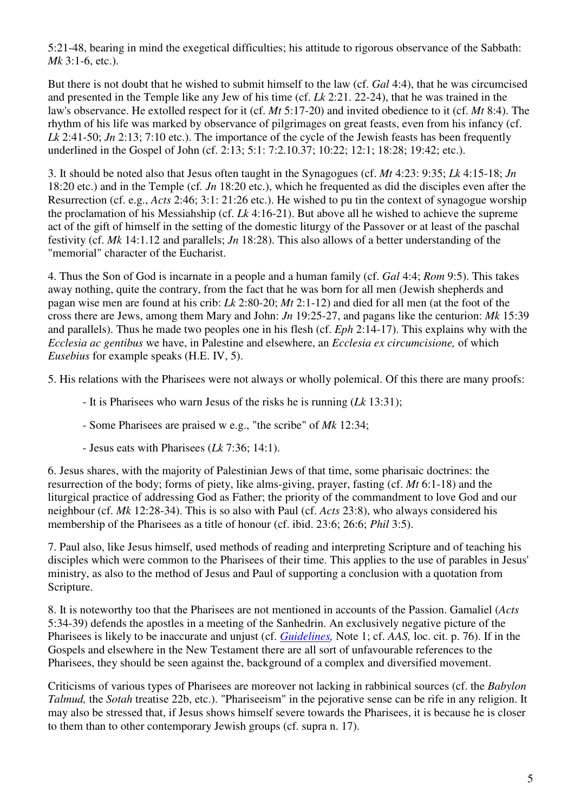5:21-48, bearing in mind the exegetical difficulties; his attitude to rigorous observance of the Sabbath: *Mk* 3:1-6, etc.).

But there is not doubt that he wished to submit himself to the law (cf. *Gal* 4:4), that he was circumcised and presented in the Temple like any Jew of his time (cf. *Lk* 2:21. 22-24), that he was trained in the law's observance. He extolled respect for it (cf. *Mt* 5:17-20) and invited obedience to it (cf. *Mt* 8:4). The rhythm of his life was marked by observance of pilgrimages on great feasts, even from his infancy (cf. *Lk* 2:41-50; *Jn* 2:13; 7:10 etc.). The importance of the cycle of the Jewish feasts has been frequently underlined in the Gospel of John (cf. 2:13; 5:1: 7:2.10.37; 10:22; 12:1; 18:28; 19:42; etc.).

3. It should be noted also that Jesus often taught in the Synagogues (cf. *Mt* 4:23: 9:35; *Lk* 4:15-18; *Jn*  18:20 etc.) and in the Temple (cf*. Jn* 18:20 etc.), which he frequented as did the disciples even after the Resurrection (cf. e.g., *Acts* 2:46; 3:1: 21:26 etc.). He wished to pu tin the context of synagogue worship the proclamation of his Messiahship (cf. *Lk* 4:16-21). But above all he wished to achieve the supreme act of the gift of himself in the setting of the domestic liturgy of the Passover or at least of the paschal festivity (cf. *Mk* 14:1.12 and parallels; *Jn* 18:28). This also allows of a better understanding of the "memorial" character of the Eucharist.

4. Thus the Son of God is incarnate in a people and a human family (cf. *Gal* 4:4; *Rom* 9:5). This takes away nothing, quite the contrary, from the fact that he was born for all men (Jewish shepherds and pagan wise men are found at his crib: *Lk* 2:80-20; *Mt* 2:1-12) and died for all men (at the foot of the cross there are Jews, among them Mary and John: *Jn* 19:25-27, and pagans like the centurion: *Mk* 15:39 and parallels). Thus he made two peoples one in his flesh (cf. *Eph* 2:14-17). This explains why with the *Ecclesia ac gentibus* we have, in Palestine and elsewhere, an *Ecclesia ex circumcisione,* of which *Eusebius* for example speaks (H.E. IV, 5).

5. His relations with the Pharisees were not always or wholly polemical. Of this there are many proofs:

- It is Pharisees who warn Jesus of the risks he is running (*Lk* 13:31);
- Some Pharisees are praised w e.g., "the scribe" of *Mk* 12:34;
- Jesus eats with Pharisees (*Lk* 7:36; 14:1).

6. Jesus shares, with the majority of Palestinian Jews of that time, some pharisaic doctrines: the resurrection of the body; forms of piety, like alms-giving, prayer, fasting (cf. *Mt* 6:1-18) and the liturgical practice of addressing God as Father; the priority of the commandment to love God and our neighbour (cf. *Mk* 12:28-34). This is so also with Paul (cf. *Acts* 23:8), who always considered his membership of the Pharisees as a title of honour (cf. ibid. 23:6; 26:6; *Phil* 3:5).

7. Paul also, like Jesus himself, used methods of reading and interpreting Scripture and of teaching his disciples which were common to the Pharisees of their time. This applies to the use of parables in Jesus' ministry, as also to the method of Jesus and Paul of supporting a conclusion with a quotation from Scripture.

8. It is noteworthy too that the Pharisees are not mentioned in accounts of the Passion. Gamaliel (*Acts*  5:34-39) defends the apostles in a meeting of the Sanhedrin. An exclusively negative picture of the Pharisees is likely to be inaccurate and unjust (cf. *Guidelines,* Note 1; cf. *AAS,* loc. cit. p. 76). If in the Gospels and elsewhere in the New Testament there are all sort of unfavourable references to the Pharisees, they should be seen against the, background of a complex and diversified movement.

Criticisms of various types of Pharisees are moreover not lacking in rabbinical sources (cf. the *Babylon Talmud*, the *Sotah* treatise 22b, etc.). "Phariseeism" in the pejorative sense can be rife in any religion. It may also be stressed that, if Jesus shows himself severe towards the Pharisees, it is because he is closer to them than to other contemporary Jewish groups (cf. supra n. 17).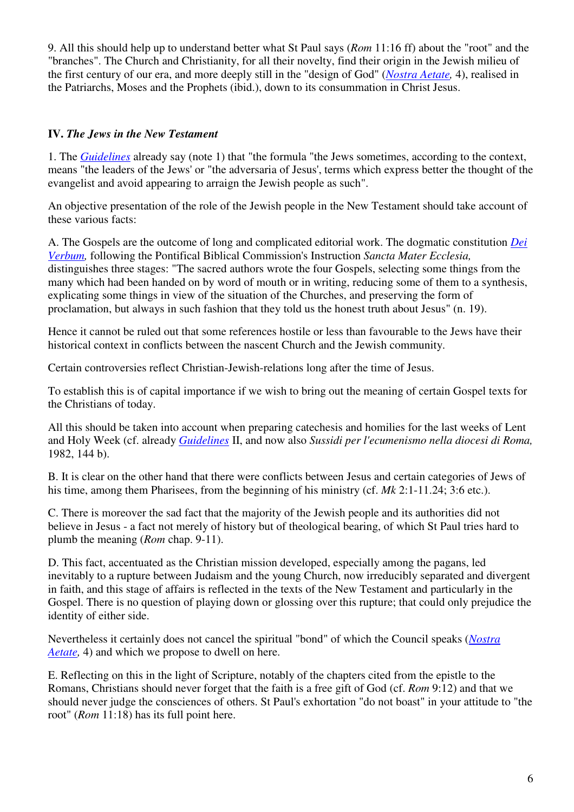9. All this should help up to understand better what St Paul says (*Rom* 11:16 ff) about the "root" and the "branches". The Church and Christianity, for all their novelty, find their origin in the Jewish milieu of the first century of our era, and more deeply still in the "design of God" (*Nostra Aetate,* 4), realised in the Patriarchs, Moses and the Prophets (ibid.), down to its consummation in Christ Jesus.

## **IV.** *The Jews in the New Testament*

1. The *Guidelines* already say (note 1) that "the formula "the Jews sometimes, according to the context, means "the leaders of the Jews' or "the adversaria of Jesus', terms which express better the thought of the evangelist and avoid appearing to arraign the Jewish people as such".

An objective presentation of the role of the Jewish people in the New Testament should take account of these various facts:

A. The Gospels are the outcome of long and complicated editorial work. The dogmatic constitution *Dei Verbum,* following the Pontifical Biblical Commission's Instruction *Sancta Mater Ecclesia,*  distinguishes three stages: "The sacred authors wrote the four Gospels, selecting some things from the many which had been handed on by word of mouth or in writing, reducing some of them to a synthesis, explicating some things in view of the situation of the Churches, and preserving the form of proclamation, but always in such fashion that they told us the honest truth about Jesus" (n. 19).

Hence it cannot be ruled out that some references hostile or less than favourable to the Jews have their historical context in conflicts between the nascent Church and the Jewish community.

Certain controversies reflect Christian-Jewish-relations long after the time of Jesus.

To establish this is of capital importance if we wish to bring out the meaning of certain Gospel texts for the Christians of today.

All this should be taken into account when preparing catechesis and homilies for the last weeks of Lent and Holy Week (cf. already *Guidelines* II, and now also *Sussidi per l'ecumenismo nella diocesi di Roma,*  1982, 144 b).

B. It is clear on the other hand that there were conflicts between Jesus and certain categories of Jews of his time, among them Pharisees, from the beginning of his ministry (cf. *Mk* 2:1-11.24; 3:6 etc.).

C. There is moreover the sad fact that the majority of the Jewish people and its authorities did not believe in Jesus - a fact not merely of history but of theological bearing, of which St Paul tries hard to plumb the meaning (*Rom* chap. 9-11).

D. This fact, accentuated as the Christian mission developed, especially among the pagans, led inevitably to a rupture between Judaism and the young Church, now irreducibly separated and divergent in faith, and this stage of affairs is reflected in the texts of the New Testament and particularly in the Gospel. There is no question of playing down or glossing over this rupture; that could only prejudice the identity of either side.

Nevertheless it certainly does not cancel the spiritual "bond" of which the Council speaks (*Nostra Aetate,* 4) and which we propose to dwell on here.

E. Reflecting on this in the light of Scripture, notably of the chapters cited from the epistle to the Romans, Christians should never forget that the faith is a free gift of God (cf. *Rom* 9:12) and that we should never judge the consciences of others. St Paul's exhortation "do not boast" in your attitude to "the root" (*Rom* 11:18) has its full point here.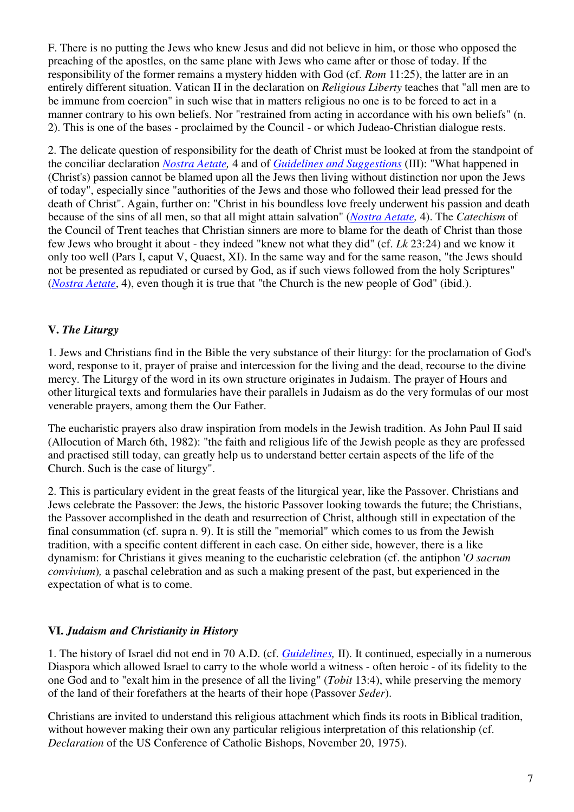F. There is no putting the Jews who knew Jesus and did not believe in him, or those who opposed the preaching of the apostles, on the same plane with Jews who came after or those of today. If the responsibility of the former remains a mystery hidden with God (cf. *Rom* 11:25), the latter are in an entirely different situation. Vatican II in the declaration on *Religious Liberty* teaches that "all men are to be immune from coercion" in such wise that in matters religious no one is to be forced to act in a manner contrary to his own beliefs. Nor "restrained from acting in accordance with his own beliefs" (n. 2). This is one of the bases - proclaimed by the Council - or which Judeao-Christian dialogue rests.

2. The delicate question of responsibility for the death of Christ must be looked at from the standpoint of the conciliar declaration *Nostra Aetate,* 4 and of *Guidelines and Suggestions* (III): "What happened in (Christ's) passion cannot be blamed upon all the Jews then living without distinction nor upon the Jews of today", especially since "authorities of the Jews and those who followed their lead pressed for the death of Christ". Again, further on: "Christ in his boundless love freely underwent his passion and death because of the sins of all men, so that all might attain salvation" (*Nostra Aetate,* 4). The *Catechism* of the Council of Trent teaches that Christian sinners are more to blame for the death of Christ than those few Jews who brought it about - they indeed "knew not what they did" (cf. *Lk* 23:24) and we know it only too well (Pars I, caput V, Quaest, XI). In the same way and for the same reason, "the Jews should not be presented as repudiated or cursed by God, as if such views followed from the holy Scriptures" (*Nostra Aetate*, 4), even though it is true that "the Church is the new people of God" (ibid.).

# **V.** *The Liturgy*

1. Jews and Christians find in the Bible the very substance of their liturgy: for the proclamation of God's word, response to it, prayer of praise and intercession for the living and the dead, recourse to the divine mercy. The Liturgy of the word in its own structure originates in Judaism. The prayer of Hours and other liturgical texts and formularies have their parallels in Judaism as do the very formulas of our most venerable prayers, among them the Our Father.

The eucharistic prayers also draw inspiration from models in the Jewish tradition. As John Paul II said (Allocution of March 6th, 1982): "the faith and religious life of the Jewish people as they are professed and practised still today, can greatly help us to understand better certain aspects of the life of the Church. Such is the case of liturgy".

2. This is particulary evident in the great feasts of the liturgical year, like the Passover. Christians and Jews celebrate the Passover: the Jews, the historic Passover looking towards the future; the Christians, the Passover accomplished in the death and resurrection of Christ, although still in expectation of the final consummation (cf. supra n. 9). It is still the "memorial" which comes to us from the Jewish tradition, with a specific content different in each case. On either side, however, there is a like dynamism: for Christians it gives meaning to the eucharistic celebration (cf. the antiphon '*O sacrum convivium*), a paschal celebration and as such a making present of the past, but experienced in the expectation of what is to come.

### **VI.** *Judaism and Christianity in History*

1. The history of Israel did not end in 70 A.D. (cf. *Guidelines,* II). It continued, especially in a numerous Diaspora which allowed Israel to carry to the whole world a witness - often heroic - of its fidelity to the one God and to "exalt him in the presence of all the living" (*Tobit* 13:4), while preserving the memory of the land of their forefathers at the hearts of their hope (Passover *Seder*).

Christians are invited to understand this religious attachment which finds its roots in Biblical tradition, without however making their own any particular religious interpretation of this relationship (cf. *Declaration* of the US Conference of Catholic Bishops, November 20, 1975).